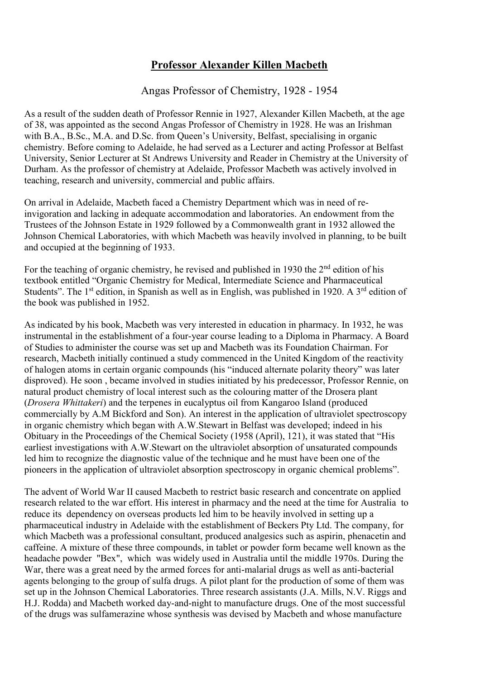## **Professor Alexander Killen Macbeth**

Angas Professor of Chemistry, 1928 - 1954

As a result of the sudden death of Professor Rennie in 1927, Alexander Killen Macbeth, at the age of 38, was appointed as the second Angas Professor of Chemistry in 1928. He was an Irishman with B.A., B.Sc., M.A. and D.Sc. from Queen's University, Belfast, specialising in organic chemistry. Before coming to Adelaide, he had served as a Lecturer and acting Professor at Belfast University, Senior Lecturer at St Andrews University and Reader in Chemistry at the University of Durham. As the professor of chemistry at Adelaide, Professor Macbeth was actively involved in teaching, research and university, commercial and public affairs.

On arrival in Adelaide, Macbeth faced a Chemistry Department which was in need of reinvigoration and lacking in adequate accommodation and laboratories. An endowment from the Trustees of the Johnson Estate in 1929 followed by a Commonwealth grant in 1932 allowed the Johnson Chemical Laboratories, with which Macbeth was heavily involved in planning, to be built and occupied at the beginning of 1933.

For the teaching of organic chemistry, he revised and published in 1930 the 2<sup>nd</sup> edition of his textbook entitled "Organic Chemistry for Medical, Intermediate Science and Pharmaceutical Students". The 1<sup>st</sup> edition, in Spanish as well as in English, was published in 1920. A 3<sup>rd</sup> edition of the book was published in 1952.

As indicated by his book, Macbeth was very interested in education in pharmacy. In 1932, he was instrumental in the establishment of a four-year course leading to a Diploma in Pharmacy. A Board of Studies to administer the course was set up and Macbeth was its Foundation Chairman. For research, Macbeth initially continued a study commenced in the United Kingdom of the reactivity of halogen atoms in certain organic compounds (his "induced alternate polarity theory" was later disproved). He soon , became involved in studies initiated by his predecessor, Professor Rennie, on natural product chemistry of local interest such as the colouring matter of the Drosera plant (*Drosera Whittakeri*) and the terpenes in eucalyptus oil from Kangaroo Island (produced commercially by A.M Bickford and Son). An interest in the application of ultraviolet spectroscopy in organic chemistry which began with A.W.Stewart in Belfast was developed; indeed in his Obituary in the Proceedings of the Chemical Society (1958 (April), 121), it was stated that "His earliest investigations with A.W.Stewart on the ultraviolet absorption of unsaturated compounds led him to recognize the diagnostic value of the technique and he must have been one of the pioneers in the application of ultraviolet absorption spectroscopy in organic chemical problems".

The advent of World War II caused Macbeth to restrict basic research and concentrate on applied research related to the war effort. His interest in pharmacy and the need at the time for Australia to reduce its dependency on overseas products led him to be heavily involved in setting up a pharmaceutical industry in Adelaide with the establishment of Beckers Pty Ltd. The company, for which Macbeth was a professional consultant, produced analgesics such as aspirin, phenacetin and caffeine. A mixture of these three compounds, in tablet or powder form became well known as the headache powder "Bex", which was widely used in Australia until the middle 1970s. During the War, there was a great need by the armed forces for anti-malarial drugs as well as anti-bacterial agents belonging to the group of sulfa drugs. A pilot plant for the production of some of them was set up in the Johnson Chemical Laboratories. Three research assistants (J.A. Mills, N.V. Riggs and H.J. Rodda) and Macbeth worked day-and-night to manufacture drugs. One of the most successful of the drugs was sulfamerazine whose synthesis was devised by Macbeth and whose manufacture